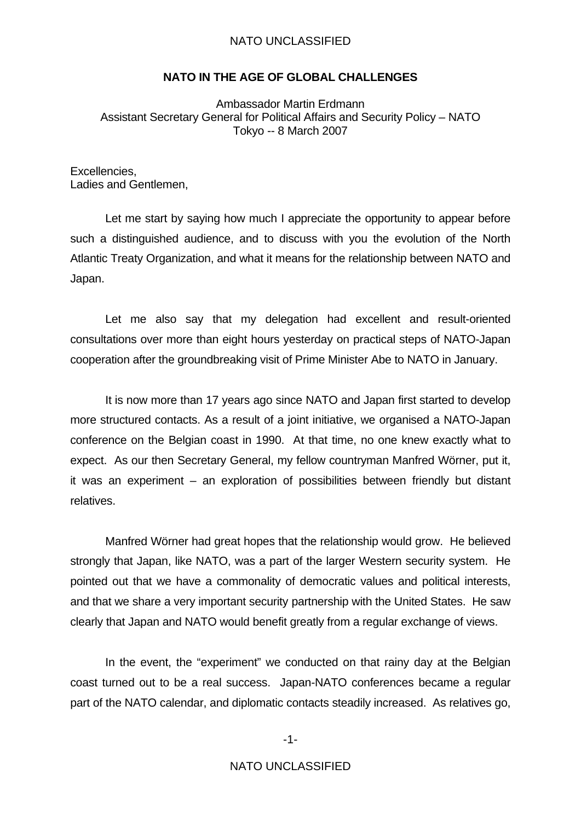#### **NATO IN THE AGE OF GLOBAL CHALLENGES**

Ambassador Martin Erdmann Assistant Secretary General for Political Affairs and Security Policy – NATO Tokyo -- 8 March 2007

Excellencies, Ladies and Gentlemen,

 Let me start by saying how much I appreciate the opportunity to appear before such a distinguished audience, and to discuss with you the evolution of the North Atlantic Treaty Organization, and what it means for the relationship between NATO and Japan.

 Let me also say that my delegation had excellent and result-oriented consultations over more than eight hours yesterday on practical steps of NATO-Japan cooperation after the groundbreaking visit of Prime Minister Abe to NATO in January.

 It is now more than 17 years ago since NATO and Japan first started to develop more structured contacts. As a result of a joint initiative, we organised a NATO-Japan conference on the Belgian coast in 1990. At that time, no one knew exactly what to expect. As our then Secretary General, my fellow countryman Manfred Wörner, put it, it was an experiment – an exploration of possibilities between friendly but distant relatives.

 Manfred Wörner had great hopes that the relationship would grow. He believed strongly that Japan, like NATO, was a part of the larger Western security system. He pointed out that we have a commonality of democratic values and political interests, and that we share a very important security partnership with the United States. He saw clearly that Japan and NATO would benefit greatly from a regular exchange of views.

 In the event, the "experiment" we conducted on that rainy day at the Belgian coast turned out to be a real success. Japan-NATO conferences became a regular part of the NATO calendar, and diplomatic contacts steadily increased. As relatives go,

-1-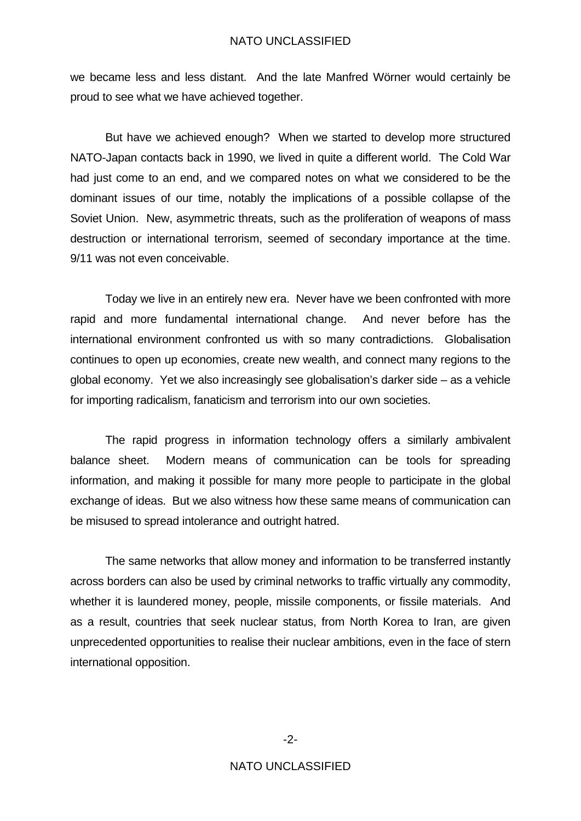we became less and less distant. And the late Manfred Wörner would certainly be proud to see what we have achieved together.

 But have we achieved enough? When we started to develop more structured NATO-Japan contacts back in 1990, we lived in quite a different world. The Cold War had just come to an end, and we compared notes on what we considered to be the dominant issues of our time, notably the implications of a possible collapse of the Soviet Union. New, asymmetric threats, such as the proliferation of weapons of mass destruction or international terrorism, seemed of secondary importance at the time. 9/11 was not even conceivable.

 Today we live in an entirely new era. Never have we been confronted with more rapid and more fundamental international change. And never before has the international environment confronted us with so many contradictions. Globalisation continues to open up economies, create new wealth, and connect many regions to the global economy. Yet we also increasingly see globalisation's darker side – as a vehicle for importing radicalism, fanaticism and terrorism into our own societies.

 The rapid progress in information technology offers a similarly ambivalent balance sheet. Modern means of communication can be tools for spreading information, and making it possible for many more people to participate in the global exchange of ideas. But we also witness how these same means of communication can be misused to spread intolerance and outright hatred.

 The same networks that allow money and information to be transferred instantly across borders can also be used by criminal networks to traffic virtually any commodity, whether it is laundered money, people, missile components, or fissile materials. And as a result, countries that seek nuclear status, from North Korea to Iran, are given unprecedented opportunities to realise their nuclear ambitions, even in the face of stern international opposition.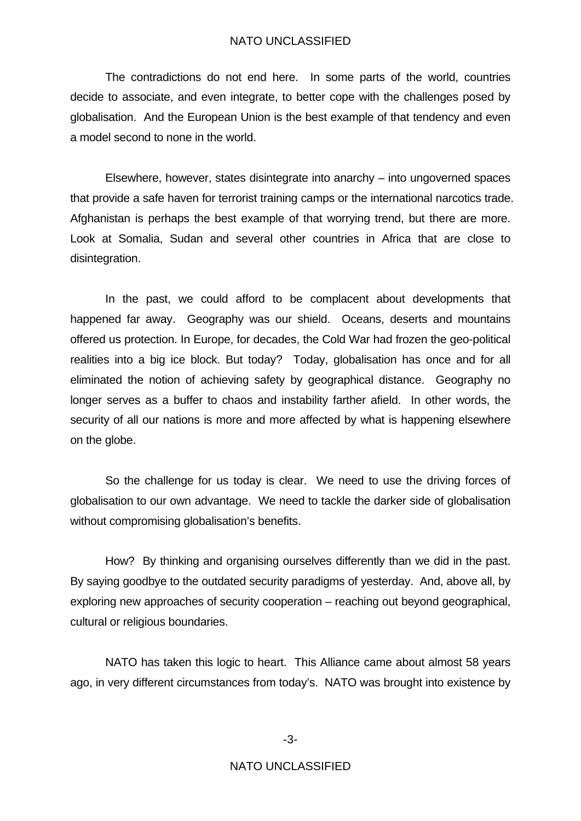The contradictions do not end here. In some parts of the world, countries decide to associate, and even integrate, to better cope with the challenges posed by globalisation. And the European Union is the best example of that tendency and even a model second to none in the world.

 Elsewhere, however, states disintegrate into anarchy – into ungoverned spaces that provide a safe haven for terrorist training camps or the international narcotics trade. Afghanistan is perhaps the best example of that worrying trend, but there are more. Look at Somalia, Sudan and several other countries in Africa that are close to disintegration.

 In the past, we could afford to be complacent about developments that happened far away. Geography was our shield. Oceans, deserts and mountains offered us protection. In Europe, for decades, the Cold War had frozen the geo-political realities into a big ice block. But today? Today, globalisation has once and for all eliminated the notion of achieving safety by geographical distance. Geography no longer serves as a buffer to chaos and instability farther afield. In other words, the security of all our nations is more and more affected by what is happening elsewhere on the globe.

 So the challenge for us today is clear. We need to use the driving forces of globalisation to our own advantage. We need to tackle the darker side of globalisation without compromising globalisation's benefits.

 How? By thinking and organising ourselves differently than we did in the past. By saying goodbye to the outdated security paradigms of yesterday. And, above all, by exploring new approaches of security cooperation – reaching out beyond geographical, cultural or religious boundaries.

 NATO has taken this logic to heart. This Alliance came about almost 58 years ago, in very different circumstances from today's. NATO was brought into existence by

-3-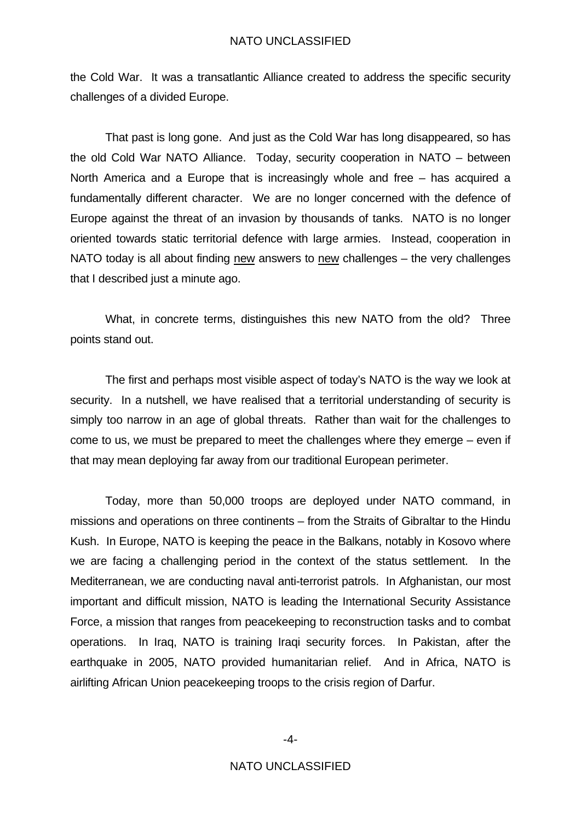the Cold War. It was a transatlantic Alliance created to address the specific security challenges of a divided Europe.

 That past is long gone. And just as the Cold War has long disappeared, so has the old Cold War NATO Alliance. Today, security cooperation in NATO – between North America and a Europe that is increasingly whole and free – has acquired a fundamentally different character. We are no longer concerned with the defence of Europe against the threat of an invasion by thousands of tanks. NATO is no longer oriented towards static territorial defence with large armies. Instead, cooperation in NATO today is all about finding new answers to new challenges – the very challenges that I described just a minute ago.

 What, in concrete terms, distinguishes this new NATO from the old? Three points stand out.

 The first and perhaps most visible aspect of today's NATO is the way we look at security. In a nutshell, we have realised that a territorial understanding of security is simply too narrow in an age of global threats. Rather than wait for the challenges to come to us, we must be prepared to meet the challenges where they emerge – even if that may mean deploying far away from our traditional European perimeter.

 Today, more than 50,000 troops are deployed under NATO command, in missions and operations on three continents – from the Straits of Gibraltar to the Hindu Kush. In Europe, NATO is keeping the peace in the Balkans, notably in Kosovo where we are facing a challenging period in the context of the status settlement. In the Mediterranean, we are conducting naval anti-terrorist patrols. In Afghanistan, our most important and difficult mission, NATO is leading the International Security Assistance Force, a mission that ranges from peacekeeping to reconstruction tasks and to combat operations. In Iraq, NATO is training Iraqi security forces. In Pakistan, after the earthquake in 2005, NATO provided humanitarian relief. And in Africa, NATO is airlifting African Union peacekeeping troops to the crisis region of Darfur.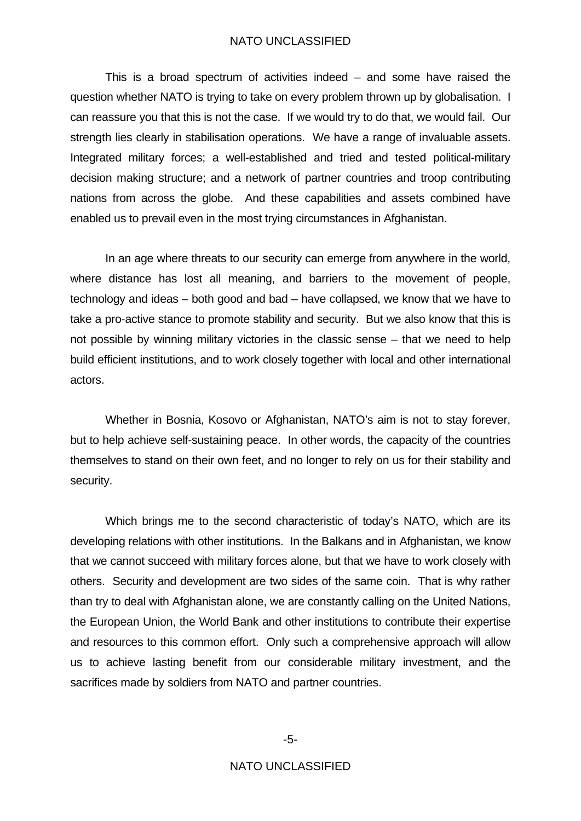This is a broad spectrum of activities indeed – and some have raised the question whether NATO is trying to take on every problem thrown up by globalisation. I can reassure you that this is not the case. If we would try to do that, we would fail. Our strength lies clearly in stabilisation operations. We have a range of invaluable assets. Integrated military forces; a well-established and tried and tested political-military decision making structure; and a network of partner countries and troop contributing nations from across the globe. And these capabilities and assets combined have enabled us to prevail even in the most trying circumstances in Afghanistan.

 In an age where threats to our security can emerge from anywhere in the world, where distance has lost all meaning, and barriers to the movement of people, technology and ideas – both good and bad – have collapsed, we know that we have to take a pro-active stance to promote stability and security. But we also know that this is not possible by winning military victories in the classic sense – that we need to help build efficient institutions, and to work closely together with local and other international actors.

 Whether in Bosnia, Kosovo or Afghanistan, NATO's aim is not to stay forever, but to help achieve self-sustaining peace. In other words, the capacity of the countries themselves to stand on their own feet, and no longer to rely on us for their stability and security.

 Which brings me to the second characteristic of today's NATO, which are its developing relations with other institutions. In the Balkans and in Afghanistan, we know that we cannot succeed with military forces alone, but that we have to work closely with others. Security and development are two sides of the same coin. That is why rather than try to deal with Afghanistan alone, we are constantly calling on the United Nations, the European Union, the World Bank and other institutions to contribute their expertise and resources to this common effort. Only such a comprehensive approach will allow us to achieve lasting benefit from our considerable military investment, and the sacrifices made by soldiers from NATO and partner countries.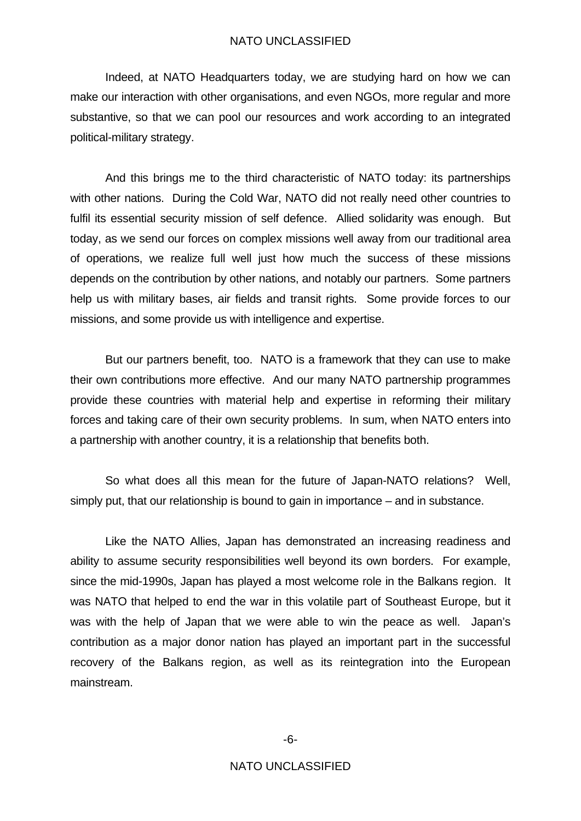Indeed, at NATO Headquarters today, we are studying hard on how we can make our interaction with other organisations, and even NGOs, more regular and more substantive, so that we can pool our resources and work according to an integrated political-military strategy.

 And this brings me to the third characteristic of NATO today: its partnerships with other nations. During the Cold War, NATO did not really need other countries to fulfil its essential security mission of self defence. Allied solidarity was enough. But today, as we send our forces on complex missions well away from our traditional area of operations, we realize full well just how much the success of these missions depends on the contribution by other nations, and notably our partners. Some partners help us with military bases, air fields and transit rights. Some provide forces to our missions, and some provide us with intelligence and expertise.

 But our partners benefit, too. NATO is a framework that they can use to make their own contributions more effective. And our many NATO partnership programmes provide these countries with material help and expertise in reforming their military forces and taking care of their own security problems. In sum, when NATO enters into a partnership with another country, it is a relationship that benefits both.

 So what does all this mean for the future of Japan-NATO relations? Well, simply put, that our relationship is bound to gain in importance – and in substance.

 Like the NATO Allies, Japan has demonstrated an increasing readiness and ability to assume security responsibilities well beyond its own borders. For example, since the mid-1990s, Japan has played a most welcome role in the Balkans region. It was NATO that helped to end the war in this volatile part of Southeast Europe, but it was with the help of Japan that we were able to win the peace as well. Japan's contribution as a major donor nation has played an important part in the successful recovery of the Balkans region, as well as its reintegration into the European mainstream.

-6-